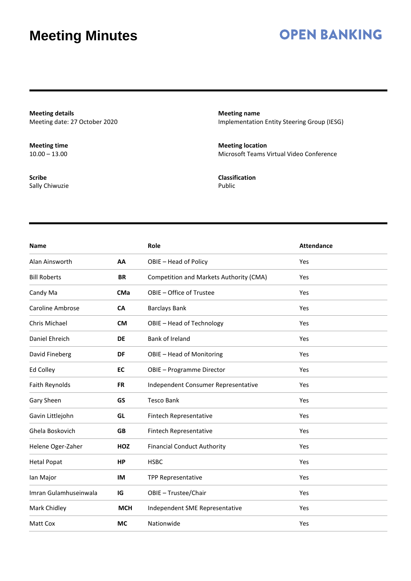### **OPEN BANKING**

**Meeting details** Meeting date: 27 October 2020

**Meeting time**  $10.00 - 13.00$ 

**Scribe** Sally Chiwuzie **Meeting name** Implementation Entity Steering Group (IESG)

**Meeting location** Microsoft Teams Virtual Video Conference

**Classification** Public

| <b>Name</b>             |            | Role                                    | <b>Attendance</b> |
|-------------------------|------------|-----------------------------------------|-------------------|
| Alan Ainsworth          | AA         | OBIE - Head of Policy                   | Yes               |
| <b>Bill Roberts</b>     | <b>BR</b>  | Competition and Markets Authority (CMA) | Yes               |
| Candy Ma                | <b>CMa</b> | OBIE - Office of Trustee                | Yes               |
| <b>Caroline Ambrose</b> | <b>CA</b>  | <b>Barclays Bank</b>                    | Yes               |
| Chris Michael           | <b>CM</b>  | OBIE - Head of Technology               | Yes               |
| Daniel Ehreich          | <b>DE</b>  | Bank of Ireland                         | Yes               |
| David Fineberg          | DF         | OBIE - Head of Monitoring               | Yes               |
| Ed Colley               | <b>EC</b>  | <b>OBIE - Programme Director</b>        | Yes               |
| Faith Reynolds          | <b>FR</b>  | Independent Consumer Representative     | Yes               |
| Gary Sheen              | GS         | <b>Tesco Bank</b>                       | Yes               |
| Gavin Littlejohn        | GL         | Fintech Representative                  | Yes               |
| Ghela Boskovich         | <b>GB</b>  | Fintech Representative                  | Yes               |
| Helene Oger-Zaher       | <b>HOZ</b> | <b>Financial Conduct Authority</b>      | Yes               |
| <b>Hetal Popat</b>      | <b>HP</b>  | <b>HSBC</b>                             | Yes               |
| lan Major               | IM         | <b>TPP Representative</b>               | Yes               |
| Imran Gulamhuseinwala   | IG         | OBIE - Trustee/Chair                    | Yes               |
| Mark Chidley            | <b>MCH</b> | Independent SME Representative          | Yes               |
| Matt Cox                | <b>MC</b>  | Nationwide                              | Yes               |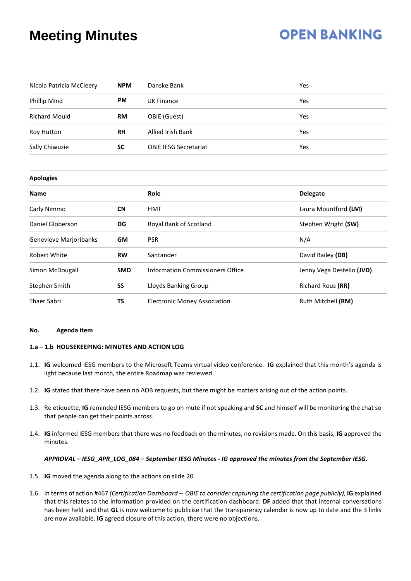### **OPEN BANKING**

| Nicola Patricia McCleery | <b>NPM</b> | Danske Bank                         | Yes                       |  |  |
|--------------------------|------------|-------------------------------------|---------------------------|--|--|
| Phillip Mind             | <b>PM</b>  | <b>UK Finance</b>                   | Yes                       |  |  |
| <b>Richard Mould</b>     | <b>RM</b>  | OBIE (Guest)                        | Yes                       |  |  |
| <b>Roy Hutton</b>        | <b>RH</b>  | Allied Irish Bank                   | Yes                       |  |  |
| Sally Chiwuzie           | <b>SC</b>  | <b>OBIE IESG Secretariat</b>        | Yes                       |  |  |
|                          |            |                                     |                           |  |  |
| <b>Apologies</b>         |            |                                     |                           |  |  |
| <b>Name</b>              |            | Role                                | <b>Delegate</b>           |  |  |
| Carly Nimmo              | <b>CN</b>  | <b>HMT</b>                          | Laura Mountford (LM)      |  |  |
| Daniel Globerson         | DG         | Royal Bank of Scotland              | Stephen Wright (SW)       |  |  |
| Genevieve Marjoribanks   | <b>GM</b>  | <b>PSR</b>                          | N/A                       |  |  |
| <b>Robert White</b>      | <b>RW</b>  | Santander                           | David Bailey (DB)         |  |  |
| Simon McDougall          | <b>SMD</b> | Information Commissioners Office    | Jenny Vega Destello (JVD) |  |  |
| Stephen Smith            | SS         | Lloyds Banking Group                | Richard Rous (RR)         |  |  |
| <b>Thaer Sabri</b>       | <b>TS</b>  | <b>Electronic Money Association</b> | Ruth Mitchell (RM)        |  |  |

#### **No. Agenda item**

### **1.a – 1.b HOUSEKEEPING: MINUTES AND ACTION LOG**

- 1.1. **IG** welcomed IESG members to the Microsoft Teams virtual video conference. **IG** explained that this month's agenda is light because last month, the entire Roadmap was reviewed.
- 1.2. **IG** stated that there have been no AOB requests, but there might be matters arising out of the action points.
- 1.3. Re etiquette, **IG** reminded IESG members to go on mute if not speaking and **SC** and himself will be monitoring the chat so that people can get their points across.
- 1.4. **IG** informed IESG members that there was no feedback on the minutes, no revisions made. On this basis, **IG** approved the minutes.

#### *APPROVAL – IESG\_APR\_LOG\_084 – September IESG Minutes - IG approved the minutes from the September IESG.*

- 1.5. **IG** moved the agenda along to the actions on slide 20.
- 1.6. In terms of action #467 *(Certification Dashboard – OBIE to consider capturing the certification page publicly)*, **IG** explained that this relates to the information provided on the certification dashboard. **DF** added that that internal conversations has been held and that **GL** is now welcome to publicise that the transparency calendar is now up to date and the 3 links are now available. **IG** agreed closure of this action, there were no objections.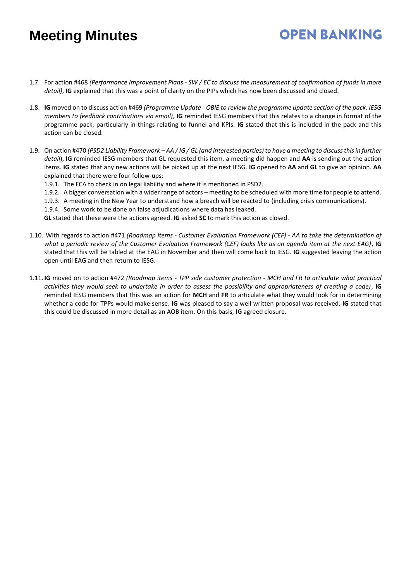1.7. For action #468 *(Performance Improvement Plans - SW / EC to discuss the measurement of confirmation of funds in more detail)*, **IG** explained that this was a point of clarity on the PIPs which has now been discussed and closed.

**OPEN BANKING** 

- 1.8. **IG** moved on to discuss action #469 *(Programme Update - OBIE to review the programme update section of the pack. IESG members to feedback contributions via email)*, **IG** reminded IESG members that this relates to a change in format of the programme pack, particularly in things relating to funnel and KPIs. **IG** stated that this is included in the pack and this action can be closed.
- 1.9. On action #470 *(PSD2 Liability Framework – AA / IG / GL (and interested parties) to have a meeting to discuss this in further detail*), **IG** reminded IESG members that GL requested this item, a meeting did happen and **AA** is sending out the action items. **IG** stated that any new actions will be picked up at the next IESG. **IG** opened to **AA** and **GL** to give an opinion. **AA** explained that there were four follow-ups:
	- 1.9.1. The FCA to check in on legal liability and where it is mentioned in PSD2.
	- 1.9.2. A bigger conversation with a wider range of actors meeting to be scheduled with more time for people to attend.
	- 1.9.3. A meeting in the New Year to understand how a breach will be reacted to (including crisis communications).
	- 1.9.4. Some work to be done on false adjudications where data has leaked.
	- **GL** stated that these were the actions agreed. **IG** asked **SC** to mark this action as closed.
- 1.10. With regards to action #471 *(Roadmap items - Customer Evaluation Framework (CEF) - AA to take the determination of what a periodic review of the Customer Evaluation Framework (CEF) looks like as an agenda item at the next EAG)*, **IG** stated that this will be tabled at the EAG in November and then will come back to IESG. **IG** suggested leaving the action open until EAG and then return to IESG.
- 1.11. **IG** moved on to action #472 *(Roadmap items - TPP side customer protection - MCH and FR to articulate what practical activities they would seek to undertake in order to assess the possibility and appropriateness of creating a code)*, **IG** reminded IESG members that this was an action for **MCH** and **FR** to articulate what they would look for in determining whether a code for TPPs would make sense. **IG** was pleased to say a well written proposal was received. **IG** stated that this could be discussed in more detail as an AOB item. On this basis, **IG** agreed closure.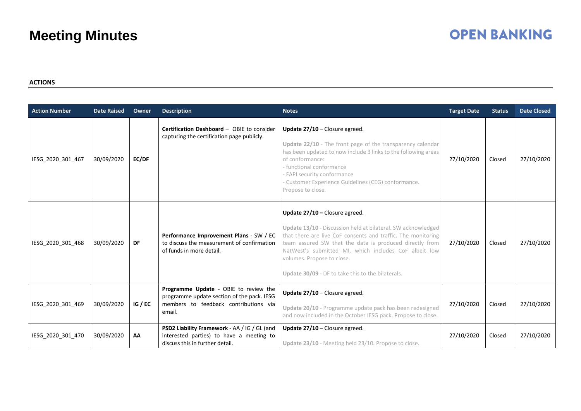# **OPEN BANKING**

### **ACTIONS**

| <b>Action Number</b> | <b>Date Raised</b> | Owner        | <b>Description</b>                                                                                                                     | <b>Notes</b>                                                                                                                                                                                                                                                                                                                                                            | <b>Target Date</b> | <b>Status</b> | <b>Date Closed</b> |
|----------------------|--------------------|--------------|----------------------------------------------------------------------------------------------------------------------------------------|-------------------------------------------------------------------------------------------------------------------------------------------------------------------------------------------------------------------------------------------------------------------------------------------------------------------------------------------------------------------------|--------------------|---------------|--------------------|
| IESG_2020_301_467    | 30/09/2020         | <b>EC/DF</b> | Certification Dashboard - OBIE to consider<br>capturing the certification page publicly.                                               | Update 27/10 - Closure agreed.<br>Update 22/10 - The front page of the transparency calendar<br>has been updated to now include 3 links to the following areas<br>of conformance:<br>- functional conformance<br>- FAPI security conformance<br>- Customer Experience Guidelines (CEG) conformance.<br>Propose to close.                                                | 27/10/2020         | Closed        | 27/10/2020         |
| IESG 2020 301 468    | 30/09/2020         | DF           | Performance Improvement Plans - SW / EC<br>to discuss the measurement of confirmation<br>of funds in more detail.                      | Update $27/10$ – Closure agreed.<br>Update 13/10 - Discussion held at bilateral. SW acknowledged<br>that there are live CoF consents and traffic. The monitoring<br>team assured SW that the data is produced directly from<br>NatWest's submitted MI, which includes CoF albeit low<br>volumes. Propose to close.<br>Update 30/09 - DF to take this to the bilaterals. | 27/10/2020         | Closed        | 27/10/2020         |
| IESG 2020 301 469    | 30/09/2020         | IG / EC      | Programme Update - OBIE to review the<br>programme update section of the pack. IESG<br>members to feedback contributions via<br>email. | Update 27/10 - Closure agreed.<br>Update 20/10 - Programme update pack has been redesigned<br>and now included in the October IESG pack. Propose to close.                                                                                                                                                                                                              | 27/10/2020         | Closed        | 27/10/2020         |
| IESG 2020 301 470    | 30/09/2020         | AA           | PSD2 Liability Framework - AA / IG / GL (and<br>interested parties) to have a meeting to<br>discuss this in further detail.            | Update $27/10$ – Closure agreed.<br>Update 23/10 - Meeting held 23/10. Propose to close.                                                                                                                                                                                                                                                                                | 27/10/2020         | Closed        | 27/10/2020         |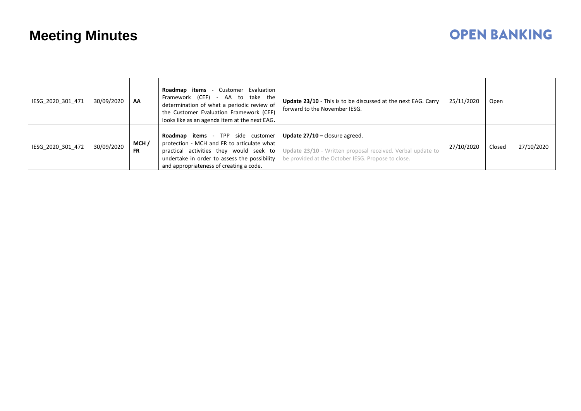# **OPEN BANKING**

| IESG 2020 301 471 | 30/09/2020 | AA                | <b>Roadmap items - Customer Evaluation</b><br>Framework (CEF) - AA to take the<br>determination of what a periodic review of<br>the Customer Evaluation Framework (CEF)<br>looks like as an agenda item at the next EAG.     | <b>Update 23/10</b> - This is to be discussed at the next EAG. Carry<br>forward to the November IESG.                                                | 25/11/2020 | Open   |            |
|-------------------|------------|-------------------|------------------------------------------------------------------------------------------------------------------------------------------------------------------------------------------------------------------------------|------------------------------------------------------------------------------------------------------------------------------------------------------|------------|--------|------------|
| IESG 2020 301 472 | 30/09/2020 | MCH/<br><b>FR</b> | <b>Roadmap items - TPP side customer</b><br>protection - MCH and FR to articulate what<br>practical activities they would seek to<br>undertake in order to assess the possibility<br>and appropriateness of creating a code. | Update $27/10$ – closure agreed.<br>Update 23/10 - Written proposal received. Verbal update to<br>be provided at the October IESG. Propose to close. | 27/10/2020 | Closed | 27/10/2020 |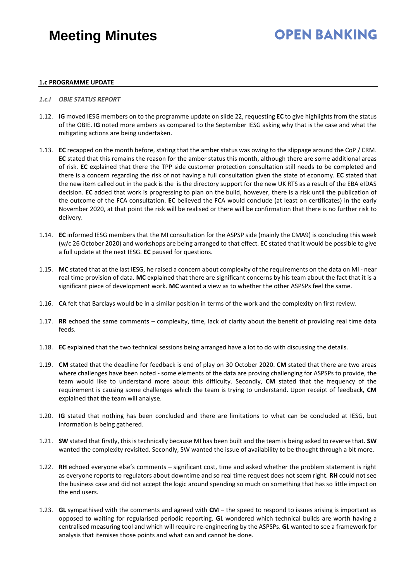## **OPEN BANKING**

#### **1.c PROGRAMME UPDATE**

#### *1.c.i OBIE STATUS REPORT*

- 1.12. **IG** moved IESG members on to the programme update on slide 22, requesting **EC** to give highlights from the status of the OBIE. **IG** noted more ambers as compared to the September IESG asking why that is the case and what the mitigating actions are being undertaken.
- 1.13. **EC** recapped on the month before, stating that the amber status was owing to the slippage around the CoP / CRM. **EC** stated that this remains the reason for the amber status this month, although there are some additional areas of risk. **EC** explained that there the TPP side customer protection consultation still needs to be completed and there is a concern regarding the risk of not having a full consultation given the state of economy. **EC** stated that the new item called out in the pack is the is the directory support for the new UK RTS as a result of the EBA eIDAS decision. **EC** added that work is progressing to plan on the build, however, there is a risk until the publication of the outcome of the FCA consultation. **EC** believed the FCA would conclude (at least on certificates) in the early November 2020, at that point the risk will be realised or there will be confirmation that there is no further risk to delivery.
- 1.14. **EC** informed IESG members that the MI consultation for the ASPSP side (mainly the CMA9) is concluding this week (w/c 26 October 2020) and workshops are being arranged to that effect. EC stated that it would be possible to give a full update at the next IESG. **EC** paused for questions.
- 1.15. **MC** stated that at the last IESG, he raised a concern about complexity of the requirements on the data on MI near real time provision of data. **MC** explained that there are significant concerns by his team about the fact that it is a significant piece of development work. **MC** wanted a view as to whether the other ASPSPs feel the same.
- 1.16. **CA** felt that Barclays would be in a similar position in terms of the work and the complexity on first review.
- 1.17. **RR** echoed the same comments complexity, time, lack of clarity about the benefit of providing real time data feeds.
- 1.18. **EC** explained that the two technical sessions being arranged have a lot to do with discussing the details.
- 1.19. **CM** stated that the deadline for feedback is end of play on 30 October 2020. **CM** stated that there are two areas where challenges have been noted - some elements of the data are proving challenging for ASPSPs to provide, the team would like to understand more about this difficulty. Secondly, **CM** stated that the frequency of the requirement is causing some challenges which the team is trying to understand. Upon receipt of feedback, **CM** explained that the team will analyse.
- 1.20. **IG** stated that nothing has been concluded and there are limitations to what can be concluded at IESG, but information is being gathered.
- 1.21. **SW** stated that firstly, this is technically because MI has been built and the team is being asked to reverse that. **SW** wanted the complexity revisited. Secondly, SW wanted the issue of availability to be thought through a bit more.
- 1.22. **RH** echoed everyone else's comments significant cost, time and asked whether the problem statement is right as everyone reports to regulators about downtime and so real time request does not seem right. **RH** could not see the business case and did not accept the logic around spending so much on something that has so little impact on the end users.
- 1.23. **GL** sympathised with the comments and agreed with **CM** the speed to respond to issues arising is important as opposed to waiting for regularised periodic reporting. **GL** wondered which technical builds are worth having a centralised measuring tool and which will require re-engineering by the ASPSPs. **GL** wanted to see a framework for analysis that itemises those points and what can and cannot be done.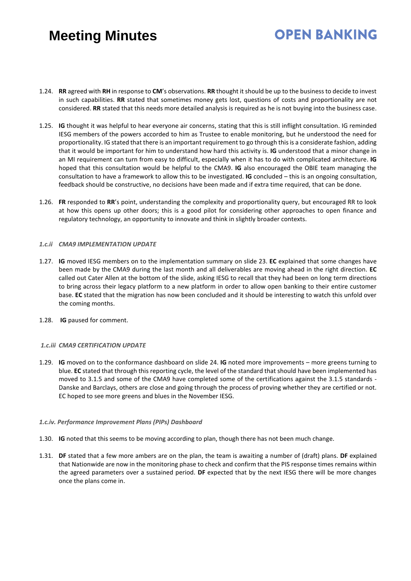# **OPEN BANKING**

- 1.24. **RR** agreed with **RH** in response to **CM**'s observations. **RR** thought it should be up to the business to decide to invest in such capabilities. **RR** stated that sometimes money gets lost, questions of costs and proportionality are not considered. **RR** stated that this needs more detailed analysis is required as he is not buying into the business case.
- 1.25. **IG** thought it was helpful to hear everyone air concerns, stating that this is still inflight consultation. IG reminded IESG members of the powers accorded to him as Trustee to enable monitoring, but he understood the need for proportionality. IG stated that there is an important requirement to go through this is a considerate fashion, adding that it would be important for him to understand how hard this activity is. **IG** understood that a minor change in an MI requirement can turn from easy to difficult, especially when it has to do with complicated architecture. **IG** hoped that this consultation would be helpful to the CMA9. **IG** also encouraged the OBIE team managing the consultation to have a framework to allow this to be investigated. **IG** concluded – this is an ongoing consultation, feedback should be constructive, no decisions have been made and if extra time required, that can be done.
- 1.26. **FR** responded to **RR**'s point, understanding the complexity and proportionality query, but encouraged RR to look at how this opens up other doors; this is a good pilot for considering other approaches to open finance and regulatory technology, an opportunity to innovate and think in slightly broader contexts.

#### *1.c.ii CMA9 IMPLEMENTATION UPDATE*

- 1.27. **IG** moved IESG members on to the implementation summary on slide 23. **EC** explained that some changes have been made by the CMA9 during the last month and all deliverables are moving ahead in the right direction. **EC** called out Cater Allen at the bottom of the slide, asking IESG to recall that they had been on long term directions to bring across their legacy platform to a new platform in order to allow open banking to their entire customer base. **EC** stated that the migration has now been concluded and it should be interesting to watch this unfold over the coming months.
- 1.28. **IG** paused for comment.

#### *1.c.iii CMA9 CERTIFICATION UPDATE*

1.29. **IG** moved on to the conformance dashboard on slide 24. **IG** noted more improvements – more greens turning to blue. **EC** stated that through this reporting cycle, the level of the standard that should have been implemented has moved to 3.1.5 and some of the CMA9 have completed some of the certifications against the 3.1.5 standards - Danske and Barclays, others are close and going through the process of proving whether they are certified or not. EC hoped to see more greens and blues in the November IESG.

#### *1.c.iv. Performance Improvement Plans (PIPs) Dashboard*

- 1.30. **IG** noted that this seems to be moving according to plan, though there has not been much change.
- 1.31. **DF** stated that a few more ambers are on the plan, the team is awaiting a number of (draft) plans. **DF** explained that Nationwide are now in the monitoring phase to check and confirm that the PIS response times remains within the agreed parameters over a sustained period. **DF** expected that by the next IESG there will be more changes once the plans come in.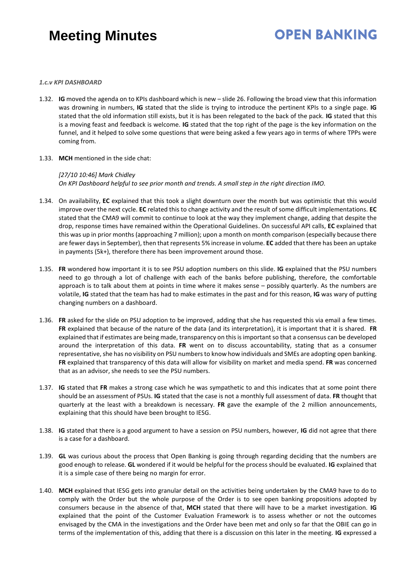# **OPEN BANKING**

#### *1.c.v KPI DASHBOARD*

- 1.32. **IG** moved the agenda on to KPIs dashboard which is new slide 26. Following the broad view that this information was drowning in numbers, **IG** stated that the slide is trying to introduce the pertinent KPIs to a single page. **IG** stated that the old information still exists, but it is has been relegated to the back of the pack. **IG** stated that this is a moving feast and feedback is welcome. **IG** stated that the top right of the page is the key information on the funnel, and it helped to solve some questions that were being asked a few years ago in terms of where TPPs were coming from.
- 1.33. **MCH** mentioned in the side chat:

*[27/10 10:46] Mark Chidley On KPI Dashboard helpful to see prior month and trends. A small step in the right direction IMO.*

- 1.34. On availability, **EC** explained that this took a slight downturn over the month but was optimistic that this would improve over the next cycle. **EC** related this to change activity and the result of some difficult implementations. **EC** stated that the CMA9 will commit to continue to look at the way they implement change, adding that despite the drop, response times have remained within the Operational Guidelines. On successful API calls, **EC** explained that this was up in prior months (approaching 7 million); upon a month on month comparison (especially because there are fewer days in September), then that represents 5% increase in volume. **EC** added that there has been an uptake in payments (5k+), therefore there has been improvement around those.
- 1.35. **FR** wondered how important it is to see PSU adoption numbers on this slide. **IG** explained that the PSU numbers need to go through a lot of challenge with each of the banks before publishing, therefore, the comfortable approach is to talk about them at points in time where it makes sense – possibly quarterly. As the numbers are volatile, **IG** stated that the team has had to make estimates in the past and for this reason, **IG** was wary of putting changing numbers on a dashboard.
- 1.36. **FR** asked for the slide on PSU adoption to be improved, adding that she has requested this via email a few times. **FR** explained that because of the nature of the data (and its interpretation), it is important that it is shared. **FR** explained that if estimates are being made, transparency on this is important so that a consensus can be developed around the interpretation of this data. **FR** went on to discuss accountability, stating that as a consumer representative, she has no visibility on PSU numbers to know how individuals and SMEs are adopting open banking. **FR** explained that transparency of this data will allow for visibility on market and media spend. **FR** was concerned that as an advisor, she needs to see the PSU numbers.
- 1.37. **IG** stated that **FR** makes a strong case which he was sympathetic to and this indicates that at some point there should be an assessment of PSUs. **IG** stated that the case is not a monthly full assessment of data. **FR** thought that quarterly at the least with a breakdown is necessary. **FR** gave the example of the 2 million announcements, explaining that this should have been brought to IESG.
- 1.38. **IG** stated that there is a good argument to have a session on PSU numbers, however, **IG** did not agree that there is a case for a dashboard.
- 1.39. **GL** was curious about the process that Open Banking is going through regarding deciding that the numbers are good enough to release. **GL** wondered if it would be helpful for the process should be evaluated. **IG** explained that it is a simple case of there being no margin for error.
- 1.40. **MCH** explained that IESG gets into granular detail on the activities being undertaken by the CMA9 have to do to comply with the Order but the whole purpose of the Order is to see open banking propositions adopted by consumers because in the absence of that, **MCH** stated that there will have to be a market investigation. **IG** explained that the point of the Customer Evaluation Framework is to assess whether or not the outcomes envisaged by the CMA in the investigations and the Order have been met and only so far that the OBIE can go in terms of the implementation of this, adding that there is a discussion on this later in the meeting. **IG** expressed a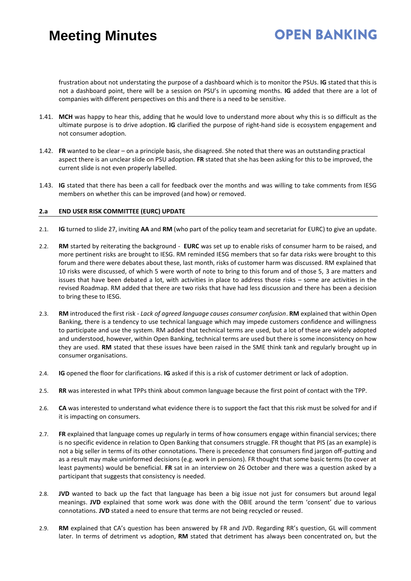### **OPEN BANKING**

frustration about not understating the purpose of a dashboard which is to monitor the PSUs. **IG** stated that this is not a dashboard point, there will be a session on PSU's in upcoming months. **IG** added that there are a lot of companies with different perspectives on this and there is a need to be sensitive.

- 1.41. **MCH** was happy to hear this, adding that he would love to understand more about why this is so difficult as the ultimate purpose is to drive adoption. **IG** clarified the purpose of right-hand side is ecosystem engagement and not consumer adoption.
- 1.42. **FR** wanted to be clear on a principle basis, she disagreed. She noted that there was an outstanding practical aspect there is an unclear slide on PSU adoption. **FR** stated that she has been asking for this to be improved, the current slide is not even properly labelled.
- 1.43. **IG** stated that there has been a call for feedback over the months and was willing to take comments from IESG members on whether this can be improved (and how) or removed.

#### **2.a END USER RISK COMMITTEE (EURC) UPDATE**

- 2.1. **IG** turned to slide 27, inviting **AA** and **RM** (who part of the policy team and secretariat for EURC) to give an update.
- 2.2. **RM** started by reiterating the background **EURC** was set up to enable risks of consumer harm to be raised, and more pertinent risks are brought to IESG. RM reminded IESG members that so far data risks were brought to this forum and there were debates about these, last month, risks of customer harm was discussed. RM explained that 10 risks were discussed, of which 5 were worth of note to bring to this forum and of those 5, 3 are matters and issues that have been debated a lot, with activities in place to address those risks – some are activities in the revised Roadmap. RM added that there are two risks that have had less discussion and there has been a decision to bring these to IESG.
- 2.3. **RM** introduced the first risk *Lack of agreed language causes consumer confusion*. **RM** explained that within Open Banking, there is a tendency to use technical language which may impede customers confidence and willingness to participate and use the system. RM added that technical terms are used, but a lot of these are widely adopted and understood, however, within Open Banking, technical terms are used but there is some inconsistency on how they are used. **RM** stated that these issues have been raised in the SME think tank and regularly brought up in consumer organisations.
- 2.4. **IG** opened the floor for clarifications. **IG** asked if this is a risk of customer detriment or lack of adoption.
- 2.5. **RR** was interested in what TPPs think about common language because the first point of contact with the TPP.
- 2.6. **CA** was interested to understand what evidence there is to support the fact that this risk must be solved for and if it is impacting on consumers.
- 2.7. **FR** explained that language comes up regularly in terms of how consumers engage within financial services; there is no specific evidence in relation to Open Banking that consumers struggle. FR thought that PIS (as an example) is not a big seller in terms of its other connotations. There is precedence that consumers find jargon off-putting and as a result may make uninformed decisions (e.g. work in pensions). FR thought that some basic terms (to cover at least payments) would be beneficial. **FR** sat in an interview on 26 October and there was a question asked by a participant that suggests that consistency is needed.
- 2.8. **JVD** wanted to back up the fact that language has been a big issue not just for consumers but around legal meanings. **JVD** explained that some work was done with the OBIE around the term 'consent' due to various connotations. **JVD** stated a need to ensure that terms are not being recycled or reused.
- 2.9. **RM** explained that CA's question has been answered by FR and JVD. Regarding RR's question, GL will comment later. In terms of detriment vs adoption, **RM** stated that detriment has always been concentrated on, but the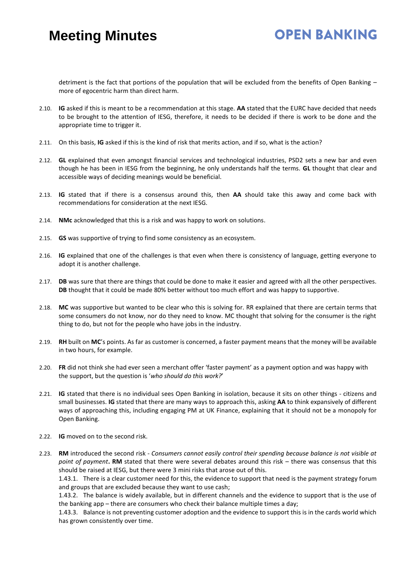### **OPEN BANKING**

detriment is the fact that portions of the population that will be excluded from the benefits of Open Banking – more of egocentric harm than direct harm.

- 2.10. **IG** asked if this is meant to be a recommendation at this stage. **AA** stated that the EURC have decided that needs to be brought to the attention of IESG, therefore, it needs to be decided if there is work to be done and the appropriate time to trigger it.
- 2.11. On this basis, **IG** asked if this is the kind of risk that merits action, and if so, what is the action?
- 2.12. **GL** explained that even amongst financial services and technological industries, PSD2 sets a new bar and even though he has been in IESG from the beginning, he only understands half the terms. **GL** thought that clear and accessible ways of deciding meanings would be beneficial.
- 2.13. **IG** stated that if there is a consensus around this, then **AA** should take this away and come back with recommendations for consideration at the next IESG.
- 2.14. **NMc** acknowledged that this is a risk and was happy to work on solutions.
- 2.15. **GS** was supportive of trying to find some consistency as an ecosystem.
- 2.16. **IG** explained that one of the challenges is that even when there is consistency of language, getting everyone to adopt it is another challenge.
- 2.17. **DB** was sure that there are things that could be done to make it easier and agreed with all the other perspectives. **DB** thought that it could be made 80% better without too much effort and was happy to supportive.
- 2.18. **MC** was supportive but wanted to be clear who this is solving for. RR explained that there are certain terms that some consumers do not know, nor do they need to know. MC thought that solving for the consumer is the right thing to do, but not for the people who have jobs in the industry.
- 2.19. **RH** built on **MC**'s points. As far as customer is concerned, a faster payment means that the money will be available in two hours, for example.
- 2.20. **FR** did not think she had ever seen a merchant offer 'faster payment' as a payment option and was happy with the support, but the question is '*who should do this work?*'
- 2.21. **IG** stated that there is no individual sees Open Banking in isolation, because it sits on other things citizens and small businesses. **IG** stated that there are many ways to approach this, asking **AA** to think expansively of different ways of approaching this, including engaging PM at UK Finance, explaining that it should not be a monopoly for Open Banking.
- 2.22. **IG** moved on to the second risk.
- 2.23. **RM** introduced the second risk *Consumers cannot easily control their spending because balance is not visible at point of payment***. RM** stated that there were several debates around this risk – there was consensus that this should be raised at IESG, but there were 3 mini risks that arose out of this.

1.43.1. There is a clear customer need for this, the evidence to support that need is the payment strategy forum and groups that are excluded because they want to use cash;

1.43.2. The balance is widely available, but in different channels and the evidence to support that is the use of the banking app – there are consumers who check their balance multiple times a day;

1.43.3. Balance is not preventing customer adoption and the evidence to support this is in the cards world which has grown consistently over time.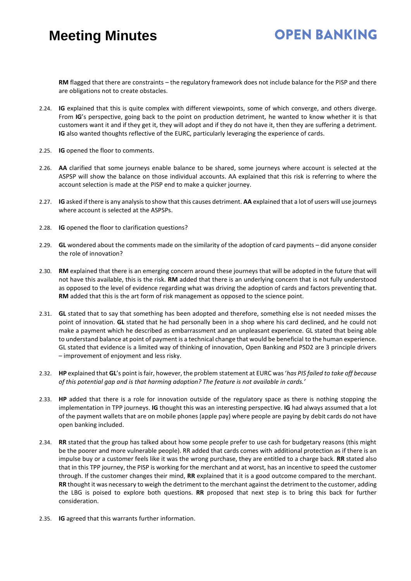### **OPEN BANKING**

**RM** flagged that there are constraints – the regulatory framework does not include balance for the PISP and there are obligations not to create obstacles.

- 2.24. **IG** explained that this is quite complex with different viewpoints, some of which converge, and others diverge. From **IG**'s perspective, going back to the point on production detriment, he wanted to know whether it is that customers want it and if they get it, they will adopt and if they do not have it, then they are suffering a detriment. **IG** also wanted thoughts reflective of the EURC, particularly leveraging the experience of cards.
- 2.25. **IG** opened the floor to comments.
- 2.26. **AA** clarified that some journeys enable balance to be shared, some journeys where account is selected at the ASPSP will show the balance on those individual accounts. AA explained that this risk is referring to where the account selection is made at the PISP end to make a quicker journey.
- 2.27. **IG** asked if there is any analysis to show that this causes detriment. **AA** explained that a lot of users will use journeys where account is selected at the ASPSPs.
- 2.28. **IG** opened the floor to clarification questions?
- 2.29. **GL** wondered about the comments made on the similarity of the adoption of card payments did anyone consider the role of innovation?
- 2.30. **RM** explained that there is an emerging concern around these journeys that will be adopted in the future that will not have this available, this is the risk. **RM** added that there is an underlying concern that is not fully understood as opposed to the level of evidence regarding what was driving the adoption of cards and factors preventing that. **RM** added that this is the art form of risk management as opposed to the science point.
- 2.31. **GL** stated that to say that something has been adopted and therefore, something else is not needed misses the point of innovation. **GL** stated that he had personally been in a shop where his card declined, and he could not make a payment which he described as embarrassment and an unpleasant experience. GL stated that being able to understand balance at point of payment is a technical change that would be beneficial to the human experience. GL stated that evidence is a limited way of thinking of innovation, Open Banking and PSD2 are 3 principle drivers – improvement of enjoyment and less risky.
- 2.32. **HP** explained that **GL**'s point is fair, however, the problem statement at EURC was '*has PIS failed to take off because of this potential gap and is that harming adoption? The feature is not available in cards.'*
- 2.33. **HP** added that there is a role for innovation outside of the regulatory space as there is nothing stopping the implementation in TPP journeys. **IG** thought this was an interesting perspective. **IG** had always assumed that a lot of the payment wallets that are on mobile phones (apple pay) where people are paying by debit cards do not have open banking included.
- 2.34. **RR** stated that the group has talked about how some people prefer to use cash for budgetary reasons (this might be the poorer and more vulnerable people). RR added that cards comes with additional protection as if there is an impulse buy or a customer feels like it was the wrong purchase, they are entitled to a charge back. **RR** stated also that in this TPP journey, the PISP is working for the merchant and at worst, has an incentive to speed the customer through. If the customer changes their mind, **RR** explained that it is a good outcome compared to the merchant. **RR** thought it was necessary to weigh the detriment to the merchant against the detriment to the customer, adding the LBG is poised to explore both questions. **RR** proposed that next step is to bring this back for further consideration.
- 2.35. **IG** agreed that this warrants further information.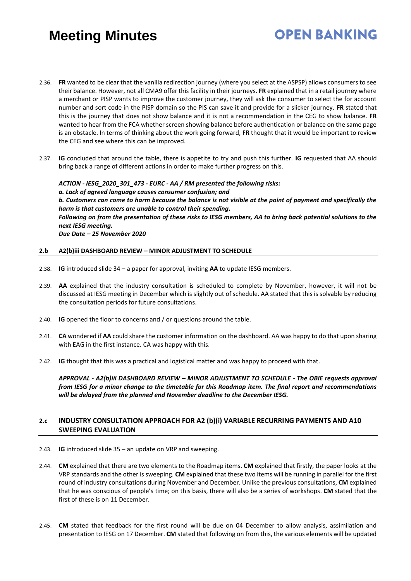2.36. **FR** wanted to be clear that the vanilla redirection journey (where you select at the ASPSP) allows consumers to see their balance. However, not all CMA9 offer this facility in their journeys. **FR** explained that in a retail journey where a merchant or PISP wants to improve the customer journey, they will ask the consumer to select the for account number and sort code in the PISP domain so the PIS can save it and provide for a slicker journey. **FR** stated that this is the journey that does not show balance and it is not a recommendation in the CEG to show balance. **FR** wanted to hear from the FCA whether screen showing balance before authentication or balance on the same page is an obstacle. In terms of thinking about the work going forward, **FR** thought that it would be important to review the CEG and see where this can be improved.

**OPEN BANKING** 

2.37. **IG** concluded that around the table, there is appetite to try and push this further. **IG** requested that AA should bring back a range of different actions in order to make further progress on this.

*ACTION - IESG\_2020\_301\_473 - EURC - AA / RM presented the following risks: a. Lack of agreed language causes consumer confusion; and b. Customers can come to harm because the balance is not visible at the point of payment and specifically the harm is that customers are unable to control their spending. Following on from the presentation of these risks to IESG members, AA to bring back potential solutions to the next IESG meeting. Due Date – 25 November 2020*

#### **2.b A2(b)iii DASHBOARD REVIEW – MINOR ADJUSTMENT TO SCHEDULE**

- 2.38. **IG** introduced slide 34 a paper for approval, inviting **AA** to update IESG members.
- 2.39. **AA** explained that the industry consultation is scheduled to complete by November, however, it will not be discussed at IESG meeting in December which is slightly out of schedule. AA stated that this is solvable by reducing the consultation periods for future consultations.
- 2.40. **IG** opened the floor to concerns and / or questions around the table.
- 2.41. **CA** wondered if **AA** could share the customer information on the dashboard. AA was happy to do that upon sharing with EAG in the first instance. CA was happy with this.
- 2.42. **IG** thought that this was a practical and logistical matter and was happy to proceed with that.

*APPROVAL - A2(b)iii DASHBOARD REVIEW – MINOR ADJUSTMENT TO SCHEDULE - The OBIE requests approval from IESG for a minor change to the timetable for this Roadmap item. The final report and recommendations will be delayed from the planned end November deadline to the December IESG.*

### **2.c INDUSTRY CONSULTATION APPROACH FOR A2 (b)(i) VARIABLE RECURRING PAYMENTS AND A10 SWEEPING EVALUATION**

- 2.43. **IG** introduced slide 35 an update on VRP and sweeping.
- 2.44. **CM** explained that there are two elements to the Roadmap items. **CM** explained that firstly, the paper looks at the VRP standards and the other is sweeping. **CM** explained that these two items will be running in parallel for the first round of industry consultations during November and December. Unlike the previous consultations, **CM** explained that he was conscious of people's time; on this basis, there will also be a series of workshops. **CM** stated that the first of these is on 11 December.
- 2.45. **CM** stated that feedback for the first round will be due on 04 December to allow analysis, assimilation and presentation to IESG on 17 December. **CM** stated that following on from this, the various elements will be updated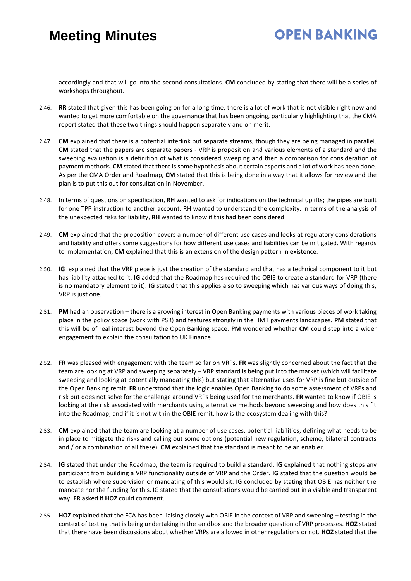### **OPEN BANKING**

accordingly and that will go into the second consultations. **CM** concluded by stating that there will be a series of workshops throughout.

- 2.46. **RR** stated that given this has been going on for a long time, there is a lot of work that is not visible right now and wanted to get more comfortable on the governance that has been ongoing, particularly highlighting that the CMA report stated that these two things should happen separately and on merit.
- 2.47. **CM** explained that there is a potential interlink but separate streams, though they are being managed in parallel. **CM** stated that the papers are separate papers - VRP is proposition and various elements of a standard and the sweeping evaluation is a definition of what is considered sweeping and then a comparison for consideration of payment methods. **CM** stated that there is some hypothesis about certain aspects and a lot of work has been done. As per the CMA Order and Roadmap, **CM** stated that this is being done in a way that it allows for review and the plan is to put this out for consultation in November.
- 2.48. In terms of questions on specification, **RH** wanted to ask for indications on the technical uplifts; the pipes are built for one TPP instruction to another account. RH wanted to understand the complexity. In terms of the analysis of the unexpected risks for liability, **RH** wanted to know if this had been considered.
- 2.49. **CM** explained that the proposition covers a number of different use cases and looks at regulatory considerations and liability and offers some suggestions for how different use cases and liabilities can be mitigated. With regards to implementation, **CM** explained that this is an extension of the design pattern in existence.
- 2.50. **IG** explained that the VRP piece is just the creation of the standard and that has a technical component to it but has liability attached to it. **IG** added that the Roadmap has required the OBIE to create a standard for VRP (there is no mandatory element to it). **IG** stated that this applies also to sweeping which has various ways of doing this, VRP is just one.
- 2.51. **PM** had an observation there is a growing interest in Open Banking payments with various pieces of work taking place in the policy space (work with PSR) and features strongly in the HMT payments landscapes. **PM** stated that this will be of real interest beyond the Open Banking space. **PM** wondered whether **CM** could step into a wider engagement to explain the consultation to UK Finance.
- 2.52. **FR** was pleased with engagement with the team so far on VRPs. **FR** was slightly concerned about the fact that the team are looking at VRP and sweeping separately – VRP standard is being put into the market (which will facilitate sweeping and looking at potentially mandating this) but stating that alternative uses for VRP is fine but outside of the Open Banking remit. **FR** understood that the logic enables Open Banking to do some assessment of VRPs and risk but does not solve for the challenge around VRPs being used for the merchants. **FR** wanted to know if OBIE is looking at the risk associated with merchants using alternative methods beyond sweeping and how does this fit into the Roadmap; and if it is not within the OBIE remit, how is the ecosystem dealing with this?
- 2.53. **CM** explained that the team are looking at a number of use cases, potential liabilities, defining what needs to be in place to mitigate the risks and calling out some options (potential new regulation, scheme, bilateral contracts and / or a combination of all these). **CM** explained that the standard is meant to be an enabler.
- 2.54. **IG** stated that under the Roadmap, the team is required to build a standard. **IG** explained that nothing stops any participant from building a VRP functionality outside of VRP and the Order. **IG** stated that the question would be to establish where supervision or mandating of this would sit. IG concluded by stating that OBIE has neither the mandate nor the funding for this. IG stated that the consultations would be carried out in a visible and transparent way. **FR** asked if **HOZ** could comment.
- 2.55. **HOZ** explained that the FCA has been liaising closely with OBIE in the context of VRP and sweeping testing in the context of testing that is being undertaking in the sandbox and the broader question of VRP processes. **HOZ** stated that there have been discussions about whether VRPs are allowed in other regulations or not. **HOZ** stated that the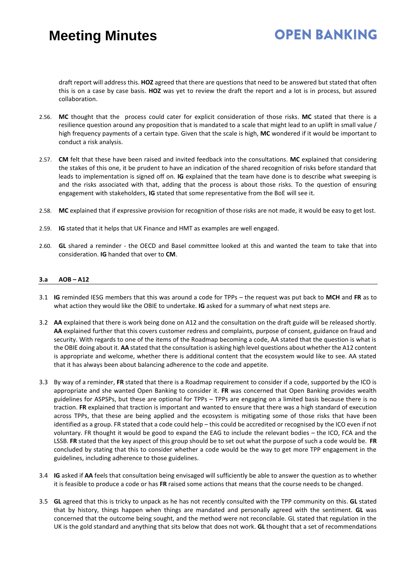### **OPEN BANKING**

draft report will address this. **HOZ** agreed that there are questions that need to be answered but stated that often this is on a case by case basis. **HOZ** was yet to review the draft the report and a lot is in process, but assured collaboration.

- 2.56. **MC** thought that the process could cater for explicit consideration of those risks. **MC** stated that there is a resilience question around any proposition that is mandated to a scale that might lead to an uplift in small value / high frequency payments of a certain type. Given that the scale is high, **MC** wondered if it would be important to conduct a risk analysis.
- 2.57. **CM** felt that these have been raised and invited feedback into the consultations. **MC** explained that considering the stakes of this one, it be prudent to have an indication of the shared recognition of risks before standard that leads to implementation is signed off on. **IG** explained that the team have done is to describe what sweeping is and the risks associated with that, adding that the process is about those risks. To the question of ensuring engagement with stakeholders, **IG** stated that some representative from the BoE will see it.
- 2.58. **MC** explained that if expressive provision for recognition of those risks are not made, it would be easy to get lost.
- 2.59. **IG** stated that it helps that UK Finance and HMT as examples are well engaged.
- 2.60. **GL** shared a reminder the OECD and Basel committee looked at this and wanted the team to take that into consideration. **IG** handed that over to **CM**.

#### **3.a AOB – A12**

- 3.1 **IG** reminded IESG members that this was around a code for TPPs the request was put back to **MCH** and **FR** as to what action they would like the OBIE to undertake. **IG** asked for a summary of what next steps are.
- 3.2 **AA** explained that there is work being done on A12 and the consultation on the draft guide will be released shortly. **AA** explained further that this covers customer redress and complaints, purpose of consent, guidance on fraud and security. With regards to one of the items of the Roadmap becoming a code, AA stated that the question is what is the OBIE doing about it. **AA** stated that the consultation is asking high level questions about whether the A12 content is appropriate and welcome, whether there is additional content that the ecosystem would like to see. AA stated that it has always been about balancing adherence to the code and appetite.
- 3.3 By way of a reminder, **FR** stated that there is a Roadmap requirement to consider if a code, supported by the ICO is appropriate and she wanted Open Banking to consider it. **FR** was concerned that Open Banking provides wealth guidelines for ASPSPs, but these are optional for TPPs – TPPs are engaging on a limited basis because there is no traction. **FR** explained that traction is important and wanted to ensure that there was a high standard of execution across TPPs, that these are being applied and the ecosystem is mitigating some of those risks that have been identified as a group. FR stated that a code could help – this could be accredited or recognised by the ICO even if not voluntary. FR thought it would be good to expand the EAG to include the relevant bodies – the ICO, FCA and the LSSB. **FR** stated that the key aspect of this group should be to set out what the purpose of such a code would be. **FR** concluded by stating that this to consider whether a code would be the way to get more TPP engagement in the guidelines, including adherence to those guidelines.
- 3.4 **IG** asked if **AA** feels that consultation being envisaged will sufficiently be able to answer the question as to whether it is feasible to produce a code or has **FR** raised some actions that means that the course needs to be changed.
- 3.5 **GL** agreed that this is tricky to unpack as he has not recently consulted with the TPP community on this. **GL** stated that by history, things happen when things are mandated and personally agreed with the sentiment. **GL** was concerned that the outcome being sought, and the method were not reconcilable. GL stated that regulation in the UK is the gold standard and anything that sits below that does not work. **GL** thought that a set of recommendations